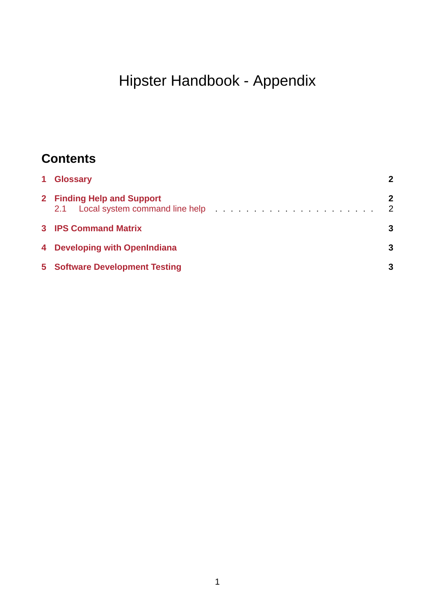# Hipster Handbook - Appendix

# **Contents**

| 1 Glossary                            |                     |
|---------------------------------------|---------------------|
| 2 Finding Help and Support            | 2<br>$\overline{2}$ |
| <b>3 IPS Command Matrix</b>           | 3                   |
| 4 Developing with OpenIndiana         |                     |
| <b>5</b> Software Development Testing | 3                   |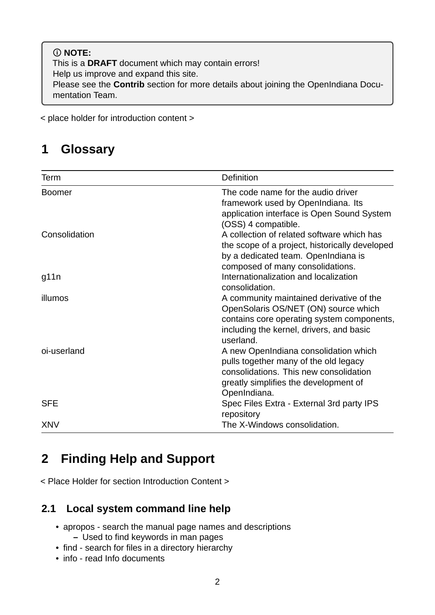#### **NOTE:** This is a **DRAFT** document which may contain errors! Help us improve and expand this site. Please see the **Contrib** section for more details about joining the OpenIndiana Documentation Team.

< place holder for introduction content >

### <span id="page-1-0"></span>**1 Glossary**

| Term          | Definition                                                                                                                                                                              |
|---------------|-----------------------------------------------------------------------------------------------------------------------------------------------------------------------------------------|
| <b>Boomer</b> | The code name for the audio driver<br>framework used by OpenIndiana. Its<br>application interface is Open Sound System<br>(OSS) 4 compatible.                                           |
| Consolidation | A collection of related software which has<br>the scope of a project, historically developed<br>by a dedicated team. OpenIndiana is<br>composed of many consolidations.                 |
| g11n          | Internationalization and localization<br>consolidation.                                                                                                                                 |
| illumos       | A community maintained derivative of the<br>OpenSolaris OS/NET (ON) source which<br>contains core operating system components,<br>including the kernel, drivers, and basic<br>userland. |
| oi-userland   | A new OpenIndiana consolidation which<br>pulls together many of the old legacy<br>consolidations. This new consolidation<br>greatly simplifies the development of<br>OpenIndiana.       |
| <b>SFE</b>    | Spec Files Extra - External 3rd party IPS<br>repository                                                                                                                                 |
| <b>XNV</b>    | The X-Windows consolidation.                                                                                                                                                            |

## <span id="page-1-1"></span>**2 Finding Help and Support**

< Place Holder for section Introduction Content >

### <span id="page-1-2"></span>**2.1 Local system command line help**

- apropos search the manual page names and descriptions **–** Used to find keywords in man pages
- find search for files in a directory hierarchy
- info read Info documents